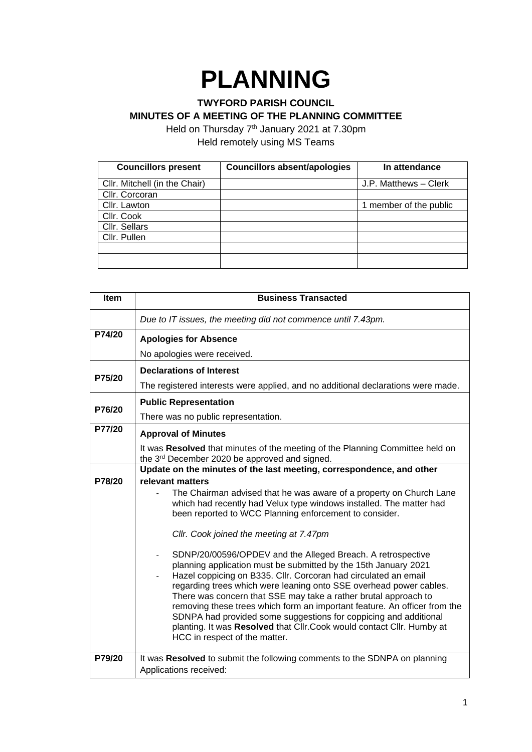## **PLANNING**

## **TWYFORD PARISH COUNCIL MINUTES OF A MEETING OF THE PLANNING COMMITTEE**

Held on Thursday 7<sup>th</sup> January 2021 at 7.30pm Held remotely using MS Teams

| <b>Councillors present</b>    | <b>Councillors absent/apologies</b> | In attendance          |
|-------------------------------|-------------------------------------|------------------------|
| Cllr. Mitchell (in the Chair) |                                     | J.P. Matthews - Clerk  |
| Cllr. Corcoran                |                                     |                        |
| Cllr. Lawton                  |                                     | 1 member of the public |
| Cllr. Cook                    |                                     |                        |
| Cllr. Sellars                 |                                     |                        |
| Cllr. Pullen                  |                                     |                        |
|                               |                                     |                        |
|                               |                                     |                        |

| Item   | <b>Business Transacted</b>                                                                                                                                                                                                                                                                                                                                                                                                                                                                                                                                                                            |  |
|--------|-------------------------------------------------------------------------------------------------------------------------------------------------------------------------------------------------------------------------------------------------------------------------------------------------------------------------------------------------------------------------------------------------------------------------------------------------------------------------------------------------------------------------------------------------------------------------------------------------------|--|
|        | Due to IT issues, the meeting did not commence until 7.43pm.                                                                                                                                                                                                                                                                                                                                                                                                                                                                                                                                          |  |
| P74/20 | <b>Apologies for Absence</b>                                                                                                                                                                                                                                                                                                                                                                                                                                                                                                                                                                          |  |
|        | No apologies were received.                                                                                                                                                                                                                                                                                                                                                                                                                                                                                                                                                                           |  |
| P75/20 | <b>Declarations of Interest</b>                                                                                                                                                                                                                                                                                                                                                                                                                                                                                                                                                                       |  |
|        | The registered interests were applied, and no additional declarations were made.                                                                                                                                                                                                                                                                                                                                                                                                                                                                                                                      |  |
| P76/20 | <b>Public Representation</b>                                                                                                                                                                                                                                                                                                                                                                                                                                                                                                                                                                          |  |
|        | There was no public representation.                                                                                                                                                                                                                                                                                                                                                                                                                                                                                                                                                                   |  |
| P77/20 | <b>Approval of Minutes</b>                                                                                                                                                                                                                                                                                                                                                                                                                                                                                                                                                                            |  |
|        | It was Resolved that minutes of the meeting of the Planning Committee held on<br>the 3rd December 2020 be approved and signed.                                                                                                                                                                                                                                                                                                                                                                                                                                                                        |  |
|        | Update on the minutes of the last meeting, correspondence, and other                                                                                                                                                                                                                                                                                                                                                                                                                                                                                                                                  |  |
| P78/20 | relevant matters                                                                                                                                                                                                                                                                                                                                                                                                                                                                                                                                                                                      |  |
|        | The Chairman advised that he was aware of a property on Church Lane<br>which had recently had Velux type windows installed. The matter had<br>been reported to WCC Planning enforcement to consider.                                                                                                                                                                                                                                                                                                                                                                                                  |  |
|        | Cllr. Cook joined the meeting at 7.47pm                                                                                                                                                                                                                                                                                                                                                                                                                                                                                                                                                               |  |
|        | SDNP/20/00596/OPDEV and the Alleged Breach. A retrospective<br>planning application must be submitted by the 15th January 2021<br>Hazel coppicing on B335. Cllr. Corcoran had circulated an email<br>regarding trees which were leaning onto SSE overhead power cables.<br>There was concern that SSE may take a rather brutal approach to<br>removing these trees which form an important feature. An officer from the<br>SDNPA had provided some suggestions for coppicing and additional<br>planting. It was Resolved that Cllr.Cook would contact Cllr. Humby at<br>HCC in respect of the matter. |  |
| P79/20 | It was Resolved to submit the following comments to the SDNPA on planning<br>Applications received:                                                                                                                                                                                                                                                                                                                                                                                                                                                                                                   |  |